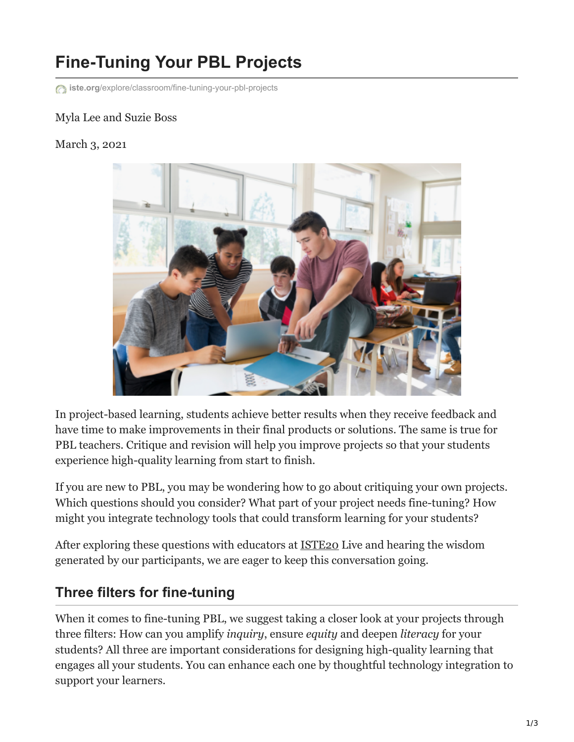# **Fine-Tuning Your PBL Projects**

**iste.org**[/explore/classroom/fine-tuning-your-pbl-projects](https://www.iste.org/explore/classroom/fine-tuning-your-pbl-projects)

#### Myla Lee and Suzie Boss

March 3, 2021



In project-based learning, students achieve better results when they receive feedback and have time to make improvements in their final products or solutions. The same is true for PBL teachers. Critique and revision will help you improve projects so that your students experience high-quality learning from start to finish.

If you are new to PBL, you may be wondering how to go about critiquing your own projects. Which questions should you consider? What part of your project needs fine-tuning? How might you integrate technology tools that could transform learning for your students?

After exploring these questions with educators at [ISTE20](https://conference.iste.org/2020/program/search/detail_session.php?id=113519196) Live and hearing the wisdom generated by our participants, we are eager to keep this conversation going.

## **Three filters for fine-tuning**

When it comes to fine-tuning PBL, we suggest taking a closer look at your projects through three filters: How can you amplify *inquiry*, ensure *equity* and deepen *literacy* for your students? All three are important considerations for designing high-quality learning that engages all your students. You can enhance each one by thoughtful technology integration to support your learners.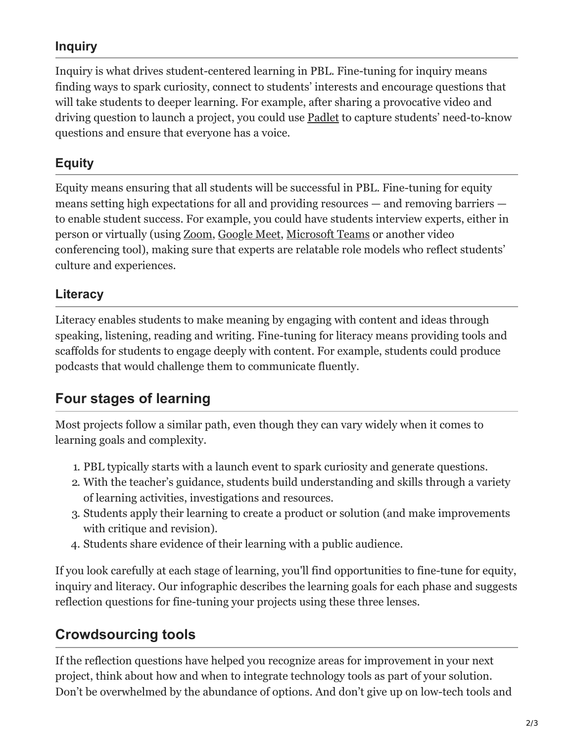### **Inquiry**

Inquiry is what drives student-centered learning in PBL. Fine-tuning for inquiry means finding ways to spark curiosity, connect to students' interests and encourage questions that will take students to deeper learning. For example, after sharing a provocative video and driving question to launch a project, you could use **Padlet** to capture students' need-to-know questions and ensure that everyone has a voice.

#### **Equity**

Equity means ensuring that all students will be successful in PBL. Fine-tuning for equity means setting high expectations for all and providing resources — and removing barriers to enable student success. For example, you could have students interview experts, either in person or virtually (using [Zoom](https://zoom.us/), [Google Meet](https://meet.google.com/), [Microsoft Teams](https://www.microsoft.com/en-us/microsoft-teams/education) or another video conferencing tool), making sure that experts are relatable role models who reflect students' culture and experiences.

#### **Literacy**

Literacy enables students to make meaning by engaging with content and ideas through speaking, listening, reading and writing. Fine-tuning for literacy means providing tools and scaffolds for students to engage deeply with content. For example, students could produce podcasts that would challenge them to communicate fluently.

## **Four stages of learning**

Most projects follow a similar path, even though they can vary widely when it comes to learning goals and complexity.

- 1. PBL typically starts with a launch event to spark curiosity and generate questions.
- 2. With the teacher's guidance, students build understanding and skills through a variety of learning activities, investigations and resources.
- 3. Students apply their learning to create a product or solution (and make improvements with critique and revision).
- 4. Students share evidence of their learning with a public audience.

If you look carefully at each stage of learning, you'll find opportunities to fine-tune for equity, inquiry and literacy. Our infographic describes the learning goals for each phase and suggests reflection questions for fine-tuning your projects using these three lenses.

## **Crowdsourcing tools**

If the reflection questions have helped you recognize areas for improvement in your next project, think about how and when to integrate technology tools as part of your solution. Don't be overwhelmed by the abundance of options. And don't give up on low-tech tools and